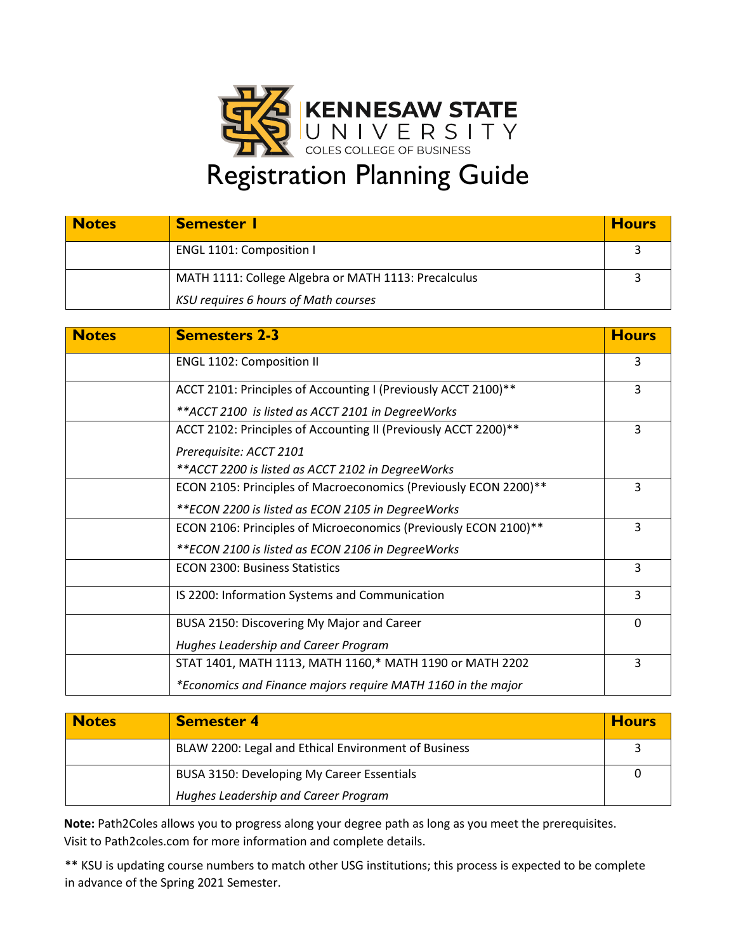

| <b>Notes</b> | <b>Semester</b> I                                    | <b>Hours</b> |
|--------------|------------------------------------------------------|--------------|
|              | <b>ENGL 1101: Composition I</b>                      |              |
|              | MATH 1111: College Algebra or MATH 1113: Precalculus |              |
|              | <b>KSU requires 6 hours of Math courses</b>          |              |

| <b>Notes</b> | <b>Semesters 2-3</b>                                             | <b>Hours</b> |
|--------------|------------------------------------------------------------------|--------------|
|              | <b>ENGL 1102: Composition II</b>                                 | 3            |
|              | ACCT 2101: Principles of Accounting I (Previously ACCT 2100)**   | 3            |
|              | ** ACCT 2100 is listed as ACCT 2101 in DegreeWorks               |              |
|              | ACCT 2102: Principles of Accounting II (Previously ACCT 2200)**  | 3            |
|              | Prerequisite: ACCT 2101                                          |              |
|              | ** ACCT 2200 is listed as ACCT 2102 in Degree Works              |              |
|              | ECON 2105: Principles of Macroeconomics (Previously ECON 2200)** | 3            |
|              | ** ECON 2200 is listed as ECON 2105 in Degree Works              |              |
|              | ECON 2106: Principles of Microeconomics (Previously ECON 2100)** | 3            |
|              | ** ECON 2100 is listed as ECON 2106 in Degree Works              |              |
|              | <b>ECON 2300: Business Statistics</b>                            | 3            |
|              | IS 2200: Information Systems and Communication                   | 3            |
|              | BUSA 2150: Discovering My Major and Career                       | $\Omega$     |
|              | Hughes Leadership and Career Program                             |              |
|              | STAT 1401, MATH 1113, MATH 1160,* MATH 1190 or MATH 2202         | 3            |
|              | *Economics and Finance majors require MATH 1160 in the major     |              |

| <b>Notes</b> | <b>Semester 4</b>                                    | <b>Hours</b> |
|--------------|------------------------------------------------------|--------------|
|              | BLAW 2200: Legal and Ethical Environment of Business |              |
|              | BUSA 3150: Developing My Career Essentials           |              |
|              | Hughes Leadership and Career Program                 |              |

**Note:** Path2Coles allows you to progress along your degree path as long as you meet the prerequisites. Visit to Path2coles.com for more information and complete details.

\*\* KSU is updating course numbers to match other USG institutions; this process is expected to be complete in advance of the Spring 2021 Semester.